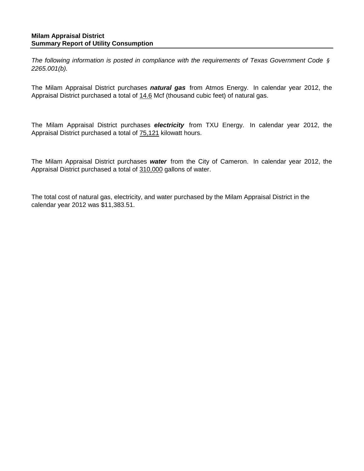*The following information is posted in compliance with the requirements of Texas Government Code § 2265.001(b).*

The Milam Appraisal District purchases *natural gas* from Atmos Energy. In calendar year 2012, the Appraisal District purchased a total of 14.6 Mcf (thousand cubic feet) of natural gas.

The Milam Appraisal District purchases *electricity* from TXU Energy. In calendar year 2012, the Appraisal District purchased a total of 75,121 kilowatt hours.

The Milam Appraisal District purchases *water* from the City of Cameron. In calendar year 2012, the Appraisal District purchased a total of 310,000 gallons of water.

The total cost of natural gas, electricity, and water purchased by the Milam Appraisal District in the calendar year 2012 was \$11,383.51.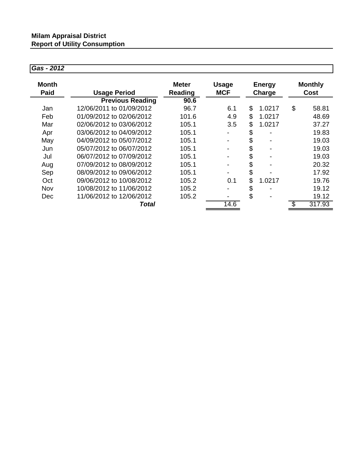## *Gas - 2012*

| Month<br>Paid | <b>Usage Period</b>      | <b>Meter</b><br>Reading | <b>Usage</b><br><b>MCF</b> | <b>Energy</b><br>Charge |        | <b>Monthly</b><br>Cost |        |
|---------------|--------------------------|-------------------------|----------------------------|-------------------------|--------|------------------------|--------|
|               | <b>Previous Reading</b>  | 90.6                    |                            |                         |        |                        |        |
| Jan           | 12/06/2011 to 01/09/2012 | 96.7                    | 6.1                        | \$                      | 1.0217 | \$                     | 58.81  |
| Feb           | 01/09/2012 to 02/06/2012 | 101.6                   | 4.9                        | \$                      | 1.0217 |                        | 48.69  |
| Mar           | 02/06/2012 to 03/06/2012 | 105.1                   | 3.5                        | \$                      | 1.0217 |                        | 37.27  |
| Apr           | 03/06/2012 to 04/09/2012 | 105.1                   |                            | \$                      |        |                        | 19.83  |
| May           | 04/09/2012 to 05/07/2012 | 105.1                   |                            | \$                      |        |                        | 19.03  |
| Jun           | 05/07/2012 to 06/07/2012 | 105.1                   |                            | \$                      |        |                        | 19.03  |
| Jul           | 06/07/2012 to 07/09/2012 | 105.1                   |                            | \$                      |        |                        | 19.03  |
| Aug           | 07/09/2012 to 08/09/2012 | 105.1                   |                            | \$                      |        |                        | 20.32  |
| Sep           | 08/09/2012 to 09/06/2012 | 105.1                   |                            | \$                      |        |                        | 17.92  |
| Oct           | 09/06/2012 to 10/08/2012 | 105.2                   | 0.1                        | \$                      | 1.0217 |                        | 19.76  |
| Nov           | 10/08/2012 to 11/06/2012 | 105.2                   |                            | \$                      |        |                        | 19.12  |
| <b>Dec</b>    | 11/06/2012 to 12/06/2012 | 105.2                   |                            | \$                      |        |                        | 19.12  |
|               | Total                    |                         | 14.6                       |                         |        | \$                     | 317.93 |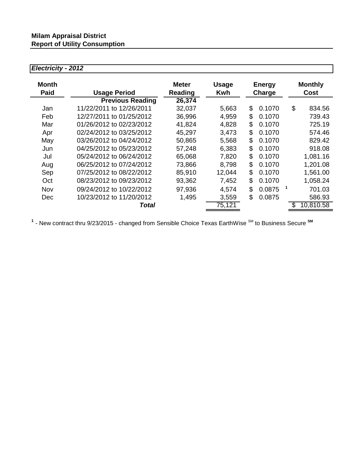## *Electricity - 2012*

| Month<br>Paid | <b>Usage Period</b>      | <b>Meter</b><br><b>Reading</b> | <b>Usage</b><br>Kwh | <b>Energy</b><br>Charge |  | <b>Monthly</b><br>Cost |           |
|---------------|--------------------------|--------------------------------|---------------------|-------------------------|--|------------------------|-----------|
|               | <b>Previous Reading</b>  | 26,374                         |                     |                         |  |                        |           |
| Jan           | 11/22/2011 to 12/26/2011 | 32,037                         | 5,663               | \$<br>0.1070            |  | \$                     | 834.56    |
| Feb           | 12/27/2011 to 01/25/2012 | 36,996                         | 4,959               | \$<br>0.1070            |  |                        | 739.43    |
| Mar           | 01/26/2012 to 02/23/2012 | 41,824                         | 4,828               | \$<br>0.1070            |  |                        | 725.19    |
| Apr           | 02/24/2012 to 03/25/2012 | 45,297                         | 3,473               | \$<br>0.1070            |  |                        | 574.46    |
| May           | 03/26/2012 to 04/24/2012 | 50,865                         | 5,568               | \$<br>0.1070            |  |                        | 829.42    |
| Jun           | 04/25/2012 to 05/23/2012 | 57,248                         | 6,383               | \$<br>0.1070            |  |                        | 918.08    |
| Jul           | 05/24/2012 to 06/24/2012 | 65,068                         | 7,820               | \$<br>0.1070            |  |                        | 1,081.16  |
| Aug           | 06/25/2012 to 07/24/2012 | 73,866                         | 8,798               | \$<br>0.1070            |  |                        | 1,201.08  |
| Sep           | 07/25/2012 to 08/22/2012 | 85,910                         | 12,044              | \$<br>0.1070            |  |                        | 1,561.00  |
| Oct           | 08/23/2012 to 09/23/2012 | 93,362                         | 7,452               | \$<br>0.1070            |  |                        | 1,058.24  |
| Nov           | 09/24/2012 to 10/22/2012 | 97,936                         | 4,574               | \$<br>0.0875            |  |                        | 701.03    |
| <b>Dec</b>    | 10/23/2012 to 11/20/2012 | 1,495                          | 3,559               | \$<br>0.0875            |  |                        | 586.93    |
|               | Total                    |                                | 75,121              |                         |  |                        | 10,810.58 |

1 - New contract thru 9/23/2015 - changed from Sensible Choice Texas EarthWise <sup>SM</sup> to Business Secure <sup>SM</sup>